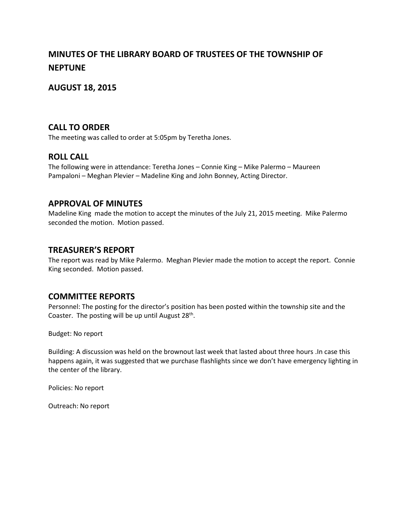# **MINUTES OF THE LIBRARY BOARD OF TRUSTEES OF THE TOWNSHIP OF NEPTUNE**

## **AUGUST 18, 2015**

#### **CALL TO ORDER**

The meeting was called to order at 5:05pm by Teretha Jones.

#### **ROLL CALL**

The following were in attendance: Teretha Jones – Connie King – Mike Palermo – Maureen Pampaloni – Meghan Plevier – Madeline King and John Bonney, Acting Director.

#### **APPROVAL OF MINUTES**

Madeline King made the motion to accept the minutes of the July 21, 2015 meeting. Mike Palermo seconded the motion. Motion passed.

#### **TREASURER'S REPORT**

The report was read by Mike Palermo. Meghan Plevier made the motion to accept the report. Connie King seconded. Motion passed.

### **COMMITTEE REPORTS**

Personnel: The posting for the director's position has been posted within the township site and the Coaster. The posting will be up until August  $28^{th}$ .

Budget: No report

Building: A discussion was held on the brownout last week that lasted about three hours .In case this happens again, it was suggested that we purchase flashlights since we don't have emergency lighting in the center of the library.

Policies: No report

Outreach: No report